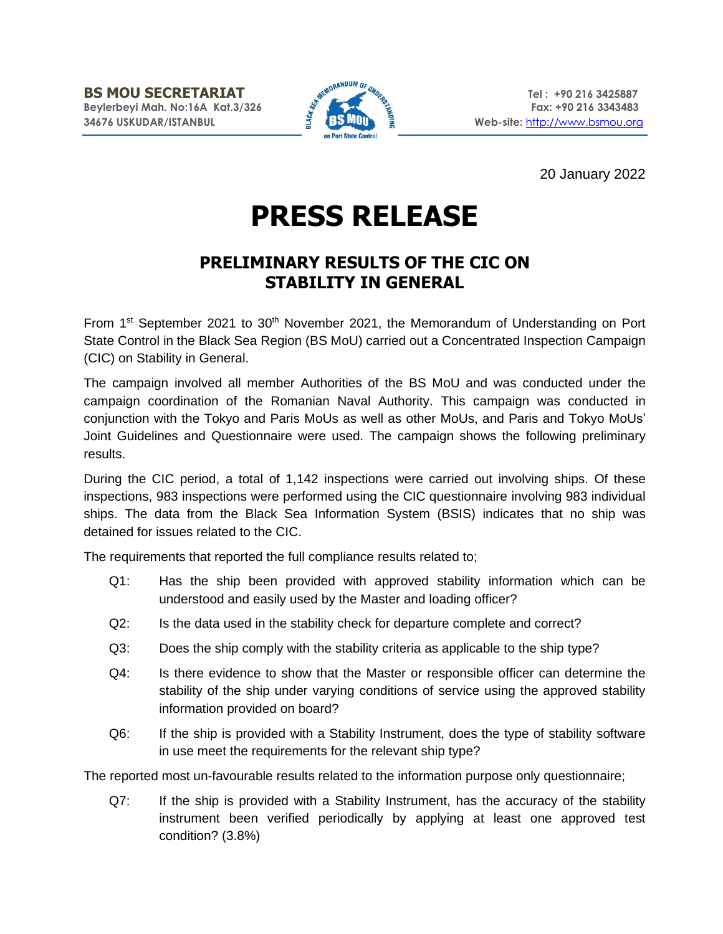

20 January 2022

## **PRESS RELEASE**

## **PRELIMINARY RESULTS OF THE CIC ON STABILITY IN GENERAL**

From  $1^{st}$  September 2021 to 30<sup>th</sup> November 2021, the Memorandum of Understanding on Port State Control in the Black Sea Region (BS MoU) carried out a Concentrated Inspection Campaign (CIC) on Stability in General.

The campaign involved all member Authorities of the BS MoU and was conducted under the campaign coordination of the Romanian Naval Authority. This campaign was conducted in conjunction with the Tokyo and Paris MoUs as well as other MoUs, and Paris and Tokyo MoUs' Joint Guidelines and Questionnaire were used. The campaign shows the following preliminary results.

During the CIC period, a total of 1,142 inspections were carried out involving ships. Of these inspections, 983 inspections were performed using the CIC questionnaire involving 983 individual ships. The data from the Black Sea Information System (BSIS) indicates that no ship was detained for issues related to the CIC.

The requirements that reported the full compliance results related to;

- Q1: Has the ship been provided with approved stability information which can be understood and easily used by the Master and loading officer?
- Q2: Is the data used in the stability check for departure complete and correct?
- Q3: Does the ship comply with the stability criteria as applicable to the ship type?
- Q4: Is there evidence to show that the Master or responsible officer can determine the stability of the ship under varying conditions of service using the approved stability information provided on board?
- Q6: If the ship is provided with a Stability Instrument, does the type of stability software in use meet the requirements for the relevant ship type?

The reported most un-favourable results related to the information purpose only questionnaire;

Q7: If the ship is provided with a Stability Instrument, has the accuracy of the stability instrument been verified periodically by applying at least one approved test condition? (3.8%)